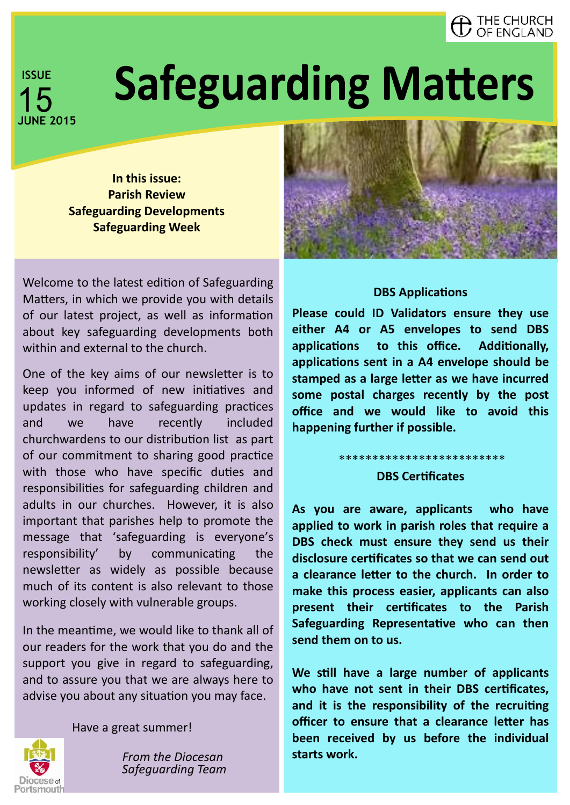#### THE CHURCH OF ENGLAND

# **Safeguarding Matters**

**In this issue: Parish Review Safeguarding Developments Safeguarding Week**

Welcome to the latest edition of Safeguarding Matters, in which we provide you with details of our latest project, as well as information about key safeguarding developments both within and external to the church.

One of the key aims of our newsletter is to keep you informed of new initiatives and updates in regard to safeguarding practices and we have recently included churchwardens to our distribution list as part of our commitment to sharing good practice with those who have specific duties and responsibilities for safeguarding children and adults in our churches. However, it is also important that parishes help to promote the message that 'safeguarding is everyone's responsibility' by communicating the newsletter as widely as possible because much of its content is also relevant to those working closely with vulnerable groups.

In the meantime, we would like to thank all of our readers for the work that you do and the support you give in regard to safeguarding, and to assure you that we are always here to advise you about any situation you may face.



Have a great summer!

*From the Diocesan Safeguarding Team* 



#### **DBS Applications**

**Please could ID Validators ensure they use either A4 or A5 envelopes to send DBS applications to this office. Additionally, applications sent in a A4 envelope should be stamped as a large letter as we have incurred some postal charges recently by the post office and we would like to avoid this happening further if possible.** 

## \*\*\*\*\*\*\*\*\*\*\*\*\*\*\*\*\*\*\*\*\*\*\*\*\*

**DBS Certificates**

**As you are aware, applicants who have applied to work in parish roles that require a DBS check must ensure they send us their disclosure certificates so that we can send out a clearance letter to the church. In order to make this process easier, applicants can also present their certificates to the Parish Safeguarding Representative who can then send them on to us.** 

**We still have a large number of applicants who have not sent in their DBS certificates, and it is the responsibility of the recruiting officer to ensure that a clearance letter has been received by us before the individual starts work.**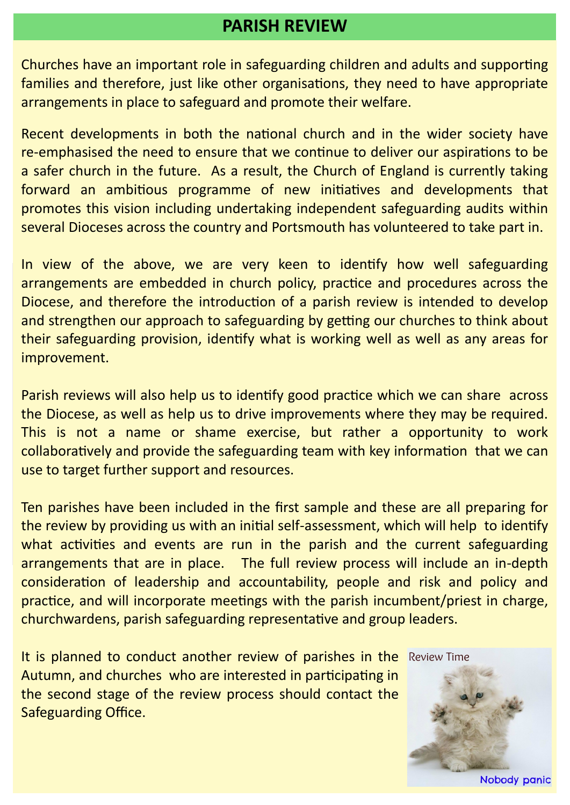## **PARISH REVIEW**

Churches have an important role in safeguarding children and adults and supporting families and therefore, just like other organisations, they need to have appropriate arrangements in place to safeguard and promote their welfare.

Recent developments in both the national church and in the wider society have re-emphasised the need to ensure that we continue to deliver our aspirations to be a safer church in the future. As a result, the Church of England is currently taking forward an ambitious programme of new initiatives and developments that promotes this vision including undertaking independent safeguarding audits within several Dioceses across the country and Portsmouth has volunteered to take part in.

In view of the above, we are very keen to identify how well safeguarding arrangements are embedded in church policy, practice and procedures across the Diocese, and therefore the introduction of a parish review is intended to develop and strengthen our approach to safeguarding by getting our churches to think about their safeguarding provision, identify what is working well as well as any areas for improvement.

Parish reviews will also help us to identify good practice which we can share across the Diocese, as well as help us to drive improvements where they may be required. This is not a name or shame exercise, but rather a opportunity to work collaboratively and provide the safeguarding team with key information that we can use to target further support and resources.

Ten parishes have been included in the first sample and these are all preparing for the review by providing us with an initial self-assessment, which will help to identify what activities and events are run in the parish and the current safeguarding arrangements that are in place. The full review process will include an in-depth consideration of leadership and accountability, people and risk and policy and practice, and will incorporate meetings with the parish incumbent/priest in charge, churchwardens, parish safeguarding representative and group leaders.

It is planned to conduct another review of parishes in the Review Time Autumn, and churches who are interested in participating in the second stage of the review process should contact the Safeguarding Office.

**Nobody panic**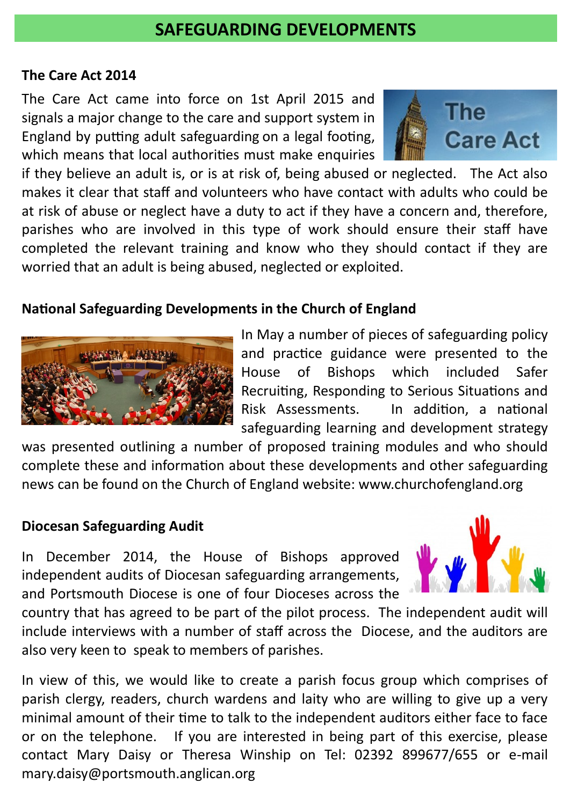## **SAFEGUARDING DEVELOPMENTS**

#### **The Care Act 2014**

The Care Act came into force on 1st April 2015 and signals a major change to the care and support system in England by putting adult safeguarding on a legal footing, which means that local authorities must make enquiries



if they believe an adult is, or is at risk of, being abused or neglected. The Act also makes it clear that staff and volunteers who have contact with adults who could be at risk of abuse or neglect have a duty to act if they have a concern and, therefore, parishes who are involved in this type of work should ensure their staff have completed the relevant training and know who they should contact if they are worried that an adult is being abused, neglected or exploited.

### **National Safeguarding Developments in the Church of England**



In May a number of pieces of safeguarding policy and practice guidance were presented to the House of Bishops which included Safer Recruiting, Responding to Serious Situations and Risk Assessments. In addition, a national safeguarding learning and development strategy

was presented outlining a number of proposed training modules and who should complete these and information about these developments and other safeguarding news can be found on the Church of England website: www.churchofengland.org

#### **Diocesan Safeguarding Audit**

In December 2014, the House of Bishops approved independent audits of Diocesan safeguarding arrangements, and Portsmouth Diocese is one of four Dioceses across the



country that has agreed to be part of the pilot process. The independent audit will include interviews with a number of staff across the Diocese, and the auditors are also very keen to speak to members of parishes.

In view of this, we would like to create a parish focus group which comprises of parish clergy, readers, church wardens and laity who are willing to give up a very minimal amount of their time to talk to the independent auditors either face to face or on the telephone. If you are interested in being part of this exercise, please contact Mary Daisy or Theresa Winship on Tel: 02392 899677/655 or e-mail mary.daisy@portsmouth.anglican.org